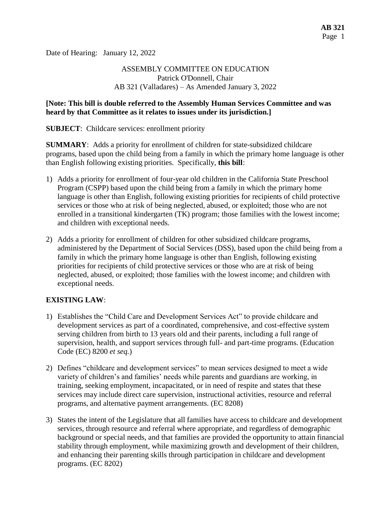Date of Hearing: January 12, 2022

# ASSEMBLY COMMITTEE ON EDUCATION Patrick O'Donnell, Chair AB 321 (Valladares) – As Amended January 3, 2022

#### **[Note: This bill is double referred to the Assembly Human Services Committee and was heard by that Committee as it relates to issues under its jurisdiction.]**

**SUBJECT**: Childcare services: enrollment priority

**SUMMARY**: Adds a priority for enrollment of children for state-subsidized childcare programs, based upon the child being from a family in which the primary home language is other than English following existing priorities. Specifically, **this bill**:

- 1) Adds a priority for enrollment of four-year old children in the California State Preschool Program (CSPP) based upon the child being from a family in which the primary home language is other than English, following existing priorities for recipients of child protective services or those who at risk of being neglected, abused, or exploited; those who are not enrolled in a transitional kindergarten (TK) program; those families with the lowest income; and children with exceptional needs.
- 2) Adds a priority for enrollment of children for other subsidized childcare programs, administered by the Department of Social Services (DSS), based upon the child being from a family in which the primary home language is other than English, following existing priorities for recipients of child protective services or those who are at risk of being neglected, abused, or exploited; those families with the lowest income; and children with exceptional needs.

## **EXISTING LAW**:

- 1) Establishes the "Child Care and Development Services Act" to provide childcare and development services as part of a coordinated, comprehensive, and cost-effective system serving children from birth to 13 years old and their parents, including a full range of supervision, health, and support services through full- and part-time programs. (Education Code (EC) 8200 *et seq.*)
- 2) Defines "childcare and development services" to mean services designed to meet a wide variety of children's and families' needs while parents and guardians are working, in training, seeking employment, incapacitated, or in need of respite and states that these services may include direct care supervision, instructional activities, resource and referral programs, and alternative payment arrangements. (EC 8208)
- 3) States the intent of the Legislature that all families have access to childcare and development services, through resource and referral where appropriate, and regardless of demographic background or special needs, and that families are provided the opportunity to attain financial stability through employment, while maximizing growth and development of their children, and enhancing their parenting skills through participation in childcare and development programs. (EC 8202)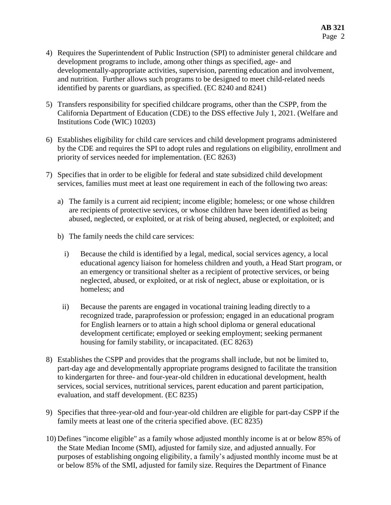- 4) Requires the Superintendent of Public Instruction (SPI) to administer general childcare and development programs to include, among other things as specified, age- and developmentally-appropriate activities, supervision, parenting education and involvement, and nutrition. Further allows such programs to be designed to meet child-related needs identified by parents or guardians, as specified. (EC 8240 and 8241)
- 5) Transfers responsibility for specified childcare programs, other than the CSPP, from the California Department of Education (CDE) to the DSS effective July 1, 2021. (Welfare and Institutions Code (WIC) 10203)
- 6) Establishes eligibility for child care services and child development programs administered by the CDE and requires the SPI to adopt rules and regulations on eligibility, enrollment and priority of services needed for implementation. (EC 8263)
- 7) Specifies that in order to be eligible for federal and state subsidized child development services, families must meet at least one requirement in each of the following two areas:
	- a) The family is a current aid recipient; income eligible; homeless; or one whose children are recipients of protective services, or whose children have been identified as being abused, neglected, or exploited, or at risk of being abused, neglected, or exploited; and
	- b) The family needs the child care services:
		- i) Because the child is identified by a legal, medical, social services agency, a local educational agency liaison for homeless children and youth, a Head Start program, or an emergency or transitional shelter as a recipient of protective services, or being neglected, abused, or exploited, or at risk of neglect, abuse or exploitation, or is homeless; and
		- ii) Because the parents are engaged in vocational training leading directly to a recognized trade, paraprofession or profession; engaged in an educational program for English learners or to attain a high school diploma or general educational development certificate; employed or seeking employment; seeking permanent housing for family stability, or incapacitated. (EC 8263)
- 8) Establishes the CSPP and provides that the programs shall include, but not be limited to, part-day age and developmentally appropriate programs designed to facilitate the transition to kindergarten for three- and four-year-old children in educational development, health services, social services, nutritional services, parent education and parent participation, evaluation, and staff development. (EC 8235)
- 9) Specifies that three-year-old and four-year-old children are eligible for part-day CSPP if the family meets at least one of the criteria specified above. (EC 8235)
- 10) Defines "income eligible" as a family whose adjusted monthly income is at or below 85% of the State Median Income (SMI), adjusted for family size, and adjusted annually. For purposes of establishing ongoing eligibility, a family's adjusted monthly income must be at or below 85% of the SMI, adjusted for family size. Requires the Department of Finance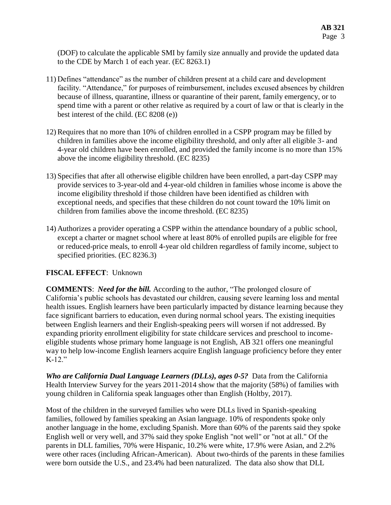(DOF) to calculate the applicable SMI by family size annually and provide the updated data to the CDE by March 1 of each year. (EC 8263.1)

- 11) Defines "attendance" as the number of children present at a child care and development facility. "Attendance," for purposes of reimbursement, includes excused absences by children because of illness, quarantine, illness or quarantine of their parent, family emergency, or to spend time with a parent or other relative as required by a court of law or that is clearly in the best interest of the child. (EC 8208 (e))
- 12) Requires that no more than 10% of children enrolled in a CSPP program may be filled by children in families above the income eligibility threshold, and only after all eligible 3- and 4-year old children have been enrolled, and provided the family income is no more than 15% above the income eligibility threshold. (EC 8235)
- 13) Specifies that after all otherwise eligible children have been enrolled, a part-day CSPP may provide services to 3-year-old and 4-year-old children in families whose income is above the income eligibility threshold if those children have been identified as children with exceptional needs, and specifies that these children do not count toward the 10% limit on children from families above the income threshold. (EC 8235)
- 14) Authorizes a provider operating a CSPP within the attendance boundary of a public school, except a charter or magnet school where at least 80% of enrolled pupils are eligible for free or reduced-price meals, to enroll 4-year old children regardless of family income, subject to specified priorities. (EC 8236.3)

## **FISCAL EFFECT**: Unknown

**COMMENTS**: *Need for the bill.* According to the author, "The prolonged closure of California's public schools has devastated our children, causing severe learning loss and mental health issues. English learners have been particularly impacted by distance learning because they face significant barriers to education, even during normal school years. The existing inequities between English learners and their English-speaking peers will worsen if not addressed. By expanding priority enrollment eligibility for state childcare services and preschool to incomeeligible students whose primary home language is not English, AB 321 offers one meaningful way to help low-income English learners acquire English language proficiency before they enter K-12."

*Who are California Dual Language Learners (DLLs), ages 0-5?* Data from the California Health Interview Survey for the years 2011-2014 show that the majority (58%) of families with young children in California speak languages other than English (Holtby, 2017).

Most of the children in the surveyed families who were DLLs lived in Spanish-speaking families, followed by families speaking an Asian language. 10% of respondents spoke only another language in the home, excluding Spanish. More than 60% of the parents said they spoke English well or very well, and 37% said they spoke English "not well" or "not at all." Of the parents in DLL families, 70% were Hispanic, 10.2% were white, 17.9% were Asian, and 2.2% were other races (including African-American). About two-thirds of the parents in these families were born outside the U.S., and 23.4% had been naturalized. The data also show that DLL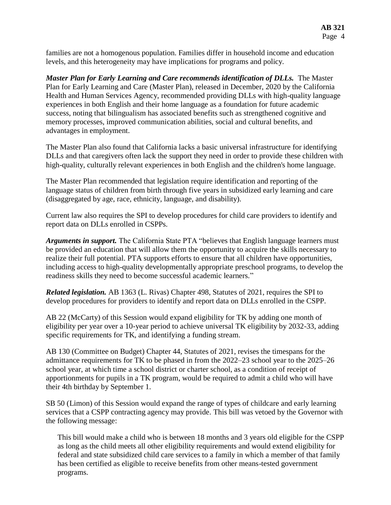families are not a homogenous population. Families differ in household income and education levels, and this heterogeneity may have implications for programs and policy.

*Master Plan for Early Learning and Care recommends identification of DLLs.* The Master Plan for Early Learning and Care (Master Plan), released in December, 2020 by the California Health and Human Services Agency, recommended providing DLLs with high-quality language experiences in both English and their home language as a foundation for future academic success, noting that bilingualism has associated benefits such as strengthened cognitive and memory processes, improved communication abilities, social and cultural benefits, and advantages in employment.

The Master Plan also found that California lacks a basic universal infrastructure for identifying DLLs and that caregivers often lack the support they need in order to provide these children with high-quality, culturally relevant experiences in both English and the children's home language.

The Master Plan recommended that legislation require identification and reporting of the language status of children from birth through five years in subsidized early learning and care (disaggregated by age, race, ethnicity, language, and disability).

Current law also requires the SPI to develop procedures for child care providers to identify and report data on DLLs enrolled in CSPPs.

*Arguments in support.* The California State PTA "believes that English language learners must be provided an education that will allow them the opportunity to acquire the skills necessary to realize their full potential. PTA supports efforts to ensure that all children have opportunities, including access to high-quality developmentally appropriate preschool programs, to develop the readiness skills they need to become successful academic learners."

*Related legislation.* AB 1363 (L. Rivas) Chapter 498, Statutes of 2021, requires the SPI to develop procedures for providers to identify and report data on DLLs enrolled in the CSPP.

AB 22 (McCarty) of this Session would expand eligibility for TK by adding one month of eligibility per year over a 10-year period to achieve universal TK eligibility by 2032-33, adding specific requirements for TK, and identifying a funding stream.

AB 130 (Committee on Budget) Chapter 44, Statutes of 2021, revises the timespans for the admittance requirements for TK to be phased in from the 2022–23 school year to the 2025–26 school year, at which time a school district or charter school, as a condition of receipt of apportionments for pupils in a TK program, would be required to admit a child who will have their 4th birthday by September 1.

SB 50 (Limon) of this Session would expand the range of types of childcare and early learning services that a CSPP contracting agency may provide. This bill was vetoed by the Governor with the following message:

This bill would make a child who is between 18 months and 3 years old eligible for the CSPP as long as the child meets all other eligibility requirements and would extend eligibility for federal and state subsidized child care services to a family in which a member of that family has been certified as eligible to receive benefits from other means-tested government programs.